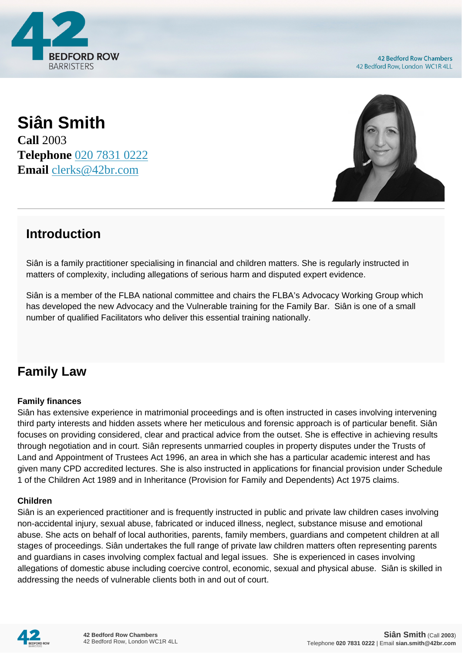

**42 Bedford Row Chambers** 42 Bedford Row, London WC1R 4LL

### **Siân Smith Call** 2003 **Telephone** [020 7831 0222](https://pdf.codeshore.co/_42br/tel:020 7831 0222) **Email** [clerks@42br.com](mailto:clerks@42br.com)



## **Introduction**

Siân is a family practitioner specialising in financial and children matters. She is regularly instructed in matters of complexity, including allegations of serious harm and disputed expert evidence.

Siân is a member of the FLBA national committee and chairs the FLBA's Advocacy Working Group which has developed the new Advocacy and the Vulnerable training for the Family Bar. Siân is one of a small number of qualified Facilitators who deliver this essential training nationally.

### **Family Law**

#### **Family finances**

Siân has extensive experience in matrimonial proceedings and is often instructed in cases involving intervening third party interests and hidden assets where her meticulous and forensic approach is of particular benefit. Siân focuses on providing considered, clear and practical advice from the outset. She is effective in achieving results through negotiation and in court. Siân represents unmarried couples in property disputes under the Trusts of Land and Appointment of Trustees Act 1996, an area in which she has a particular academic interest and has given many CPD accredited lectures. She is also instructed in applications for financial provision under Schedule 1 of the Children Act 1989 and in Inheritance (Provision for Family and Dependents) Act 1975 claims.

#### **Children**

Siân is an experienced practitioner and is frequently instructed in public and private law children cases involving non-accidental injury, sexual abuse, fabricated or induced illness, neglect, substance misuse and emotional abuse. She acts on behalf of local authorities, parents, family members, guardians and competent children at all stages of proceedings. Siân undertakes the full range of private law children matters often representing parents and guardians in cases involving complex factual and legal issues. She is experienced in cases involving allegations of domestic abuse including coercive control, economic, sexual and physical abuse. Siân is skilled in addressing the needs of vulnerable clients both in and out of court.